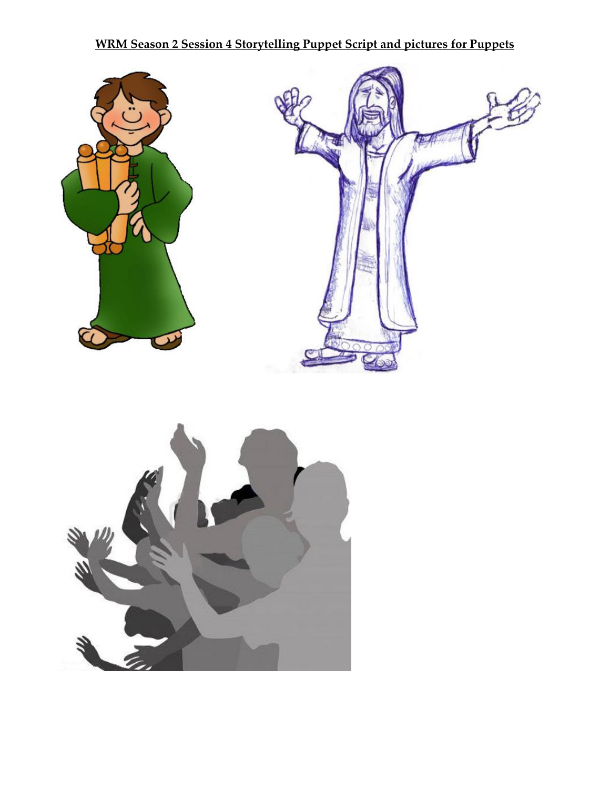## **WRM Season 2 Session 4 Storytelling Puppet Script and pictures for Puppets**

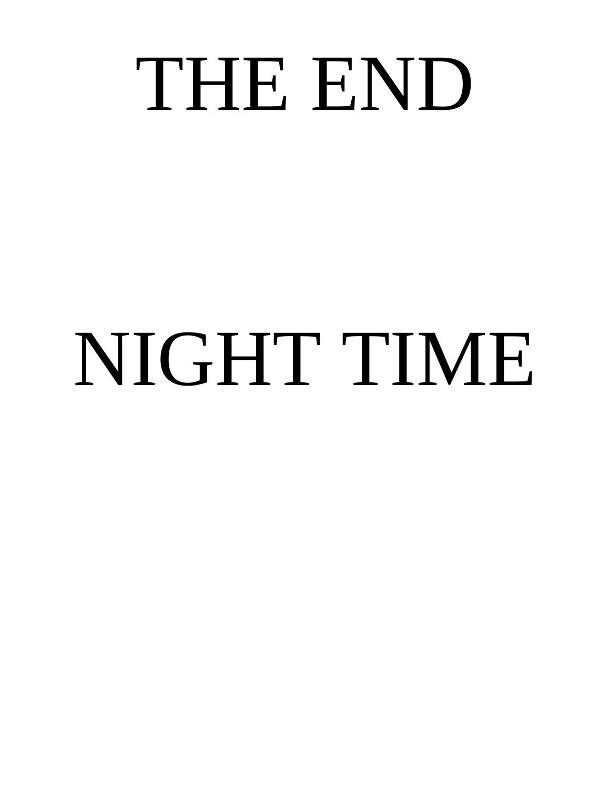## THE END

# NIGHT TIME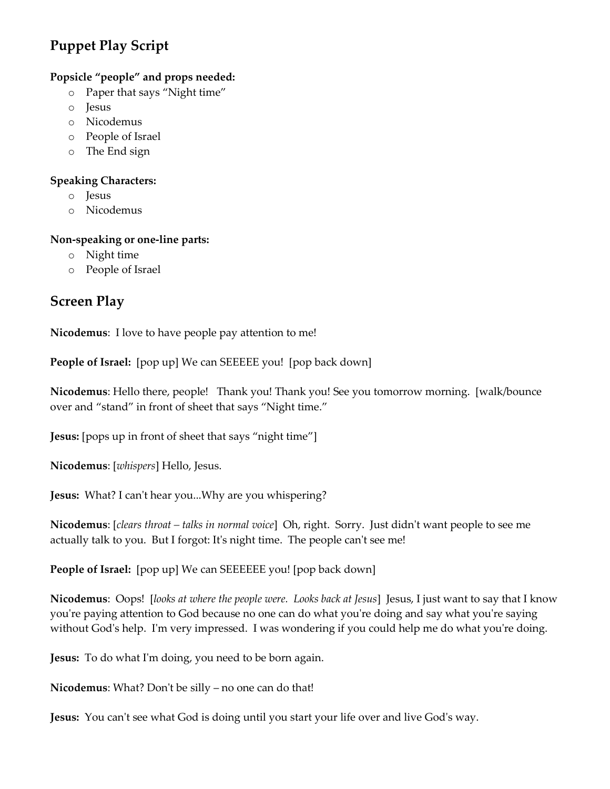## **Puppet Play Script**

#### **Popsicle "people" and props needed:**

- o Paper that says "Night time"
- o Jesus
- o Nicodemus
- o People of Israel
- o The End sign

#### **Speaking Characters:**

- o Jesus
- o Nicodemus

#### **Non-speaking or one-line parts:**

- o Night time
- o People of Israel

## **Screen Play**

**Nicodemus**: I love to have people pay attention to me!

**People of Israel:** [pop up] We can SEEEEE you! [pop back down]

**Nicodemus**: Hello there, people! Thank you! Thank you! See you tomorrow morning. [walk/bounce over and "stand" in front of sheet that says "Night time."

**Jesus:** [pops up in front of sheet that says "night time"]

**Nicodemus**: [*whispers*] Hello, Jesus.

**Jesus:** What? I can't hear you...Why are you whispering?

**Nicodemus**: [*clears throat – talks in normal voice*] Oh, right. Sorry. Just didn't want people to see me actually talk to you. But I forgot: It's night time. The people can't see me!

**People of Israel:** [pop up] We can SEEEEEE you! [pop back down]

**Nicodemus**: Oops! [*looks at where the people were. Looks back at Jesus*] Jesus, I just want to say that I know you're paying attention to God because no one can do what you're doing and say what you're saying without God's help. I'm very impressed. I was wondering if you could help me do what you're doing.

**Jesus:** To do what I'm doing, you need to be born again.

**Nicodemus**: What? Don't be silly – no one can do that!

**Jesus:** You can't see what God is doing until you start your life over and live God's way.